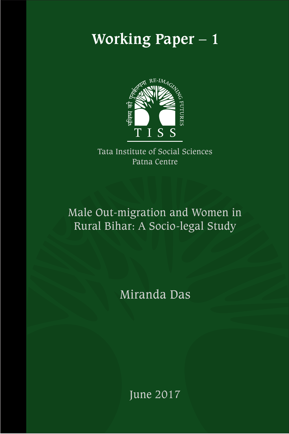# **Working Paper – 1**



Tata Institute of Social Sciences Patna Centre

Male Out-migration and Women in Rural Bihar: A Socio-legal Study

Miranda Das

June 2017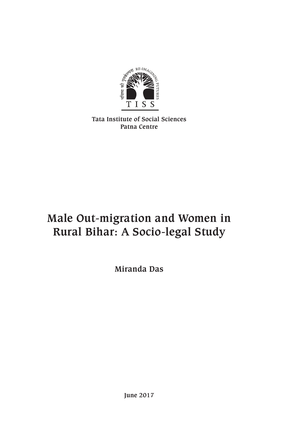

**Tata Institute of Social Sciences Patna Centre**

## **Male Out-migration and Women in Rural Bihar: A Socio-legal Study**

**Miranda Das**

**June 2017**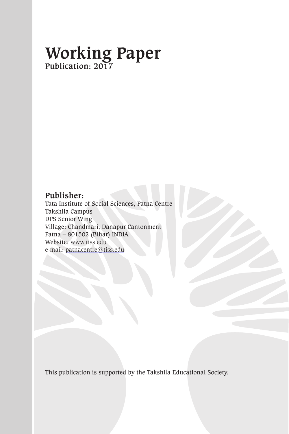## **Working Paper Publication: 2017**

#### **Publisher:**

Tata Institute of Social Sciences, Patna Centre Takshila Campus DPS Senior Wing Village: Chandmari, Danapur Cantonment Patna – 801502 (Bihar) INDIA Website: www.tiss.edu e-mail: patnacentre@tiss.edu

This publication is supported by the Takshila Educational Society.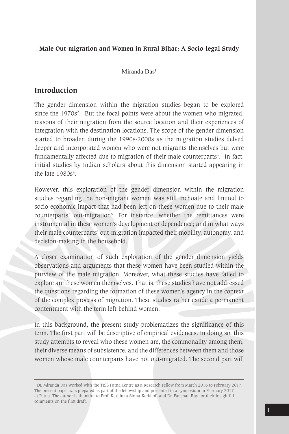#### **Male Out-migration and Women in Rural Bihar: A Socio-legal Study**

Miranda Das<sup>1</sup>

#### **Introduction**

The gender dimension within the migration studies began to be explored since the 1970s<sup>2</sup>. But the focal points were about the women who migrated, reasons of their migration from the source location and their experiences of integration with the destination locations. The scope of the gender dimension started to broaden during the 1990s-2000s as the migration studies delved deeper and incorporated women who were not migrants themselves but were fundamentally affected due to migration of their male counterparts<sup>3</sup>. In fact, initial studies by Indian scholars about this dimension started appearing in the late  $1980s<sup>4</sup>$ .

However, this exploration of the gender dimension within the migration studies regarding the non-migrant women was still inchoate and limited to socio-economic impact that had been left on these women due to their male counterparts' out-migration<sup>5</sup>. For instance, whether the remittances were instrumental in these women's development or dependence; and in what ways their male counterparts' out-migration impacted their mobility, autonomy, and decision-making in the household.

A closer examination of such exploration of the gender dimension yields observations and arguments that these women have been studied within the purview of the male migration. Moreover, what these studies have failed to explore are these women themselves. That is, these studies have not addressed the questions regarding the formation of these women's agency in the context of the complex process of migration. These studies rather exude a permanent contentment with the term left-behind women.

In this background, the present study problematizes the significance of this term. The first part will be descriptive of empirical evidences. In doing so, this study attempts to reveal who these women are, the commonality among them, their diverse means of subsistence, and the differences between them and those women whose male counterparts have not out-migrated. The second part will

<sup>&</sup>lt;sup>1</sup> Dr. Miranda Das worked with the TISS Patna Centre as a Research Fellow from March 2016 to February 2017. The present paper was prepared as part of the fellowship and presented in a symposium in February 2017 at Patna. The author is thankful to Prof. Kathinka Sinha-Kerkhoff and Dr. Panchali Ray for their insightful comments on the first draft.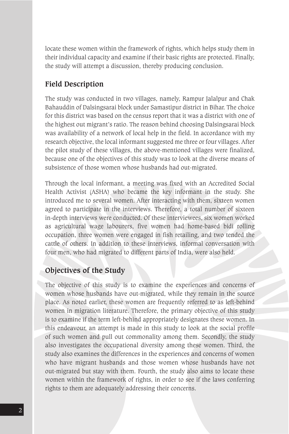locate these women within the framework of rights, which helps study them in their individual capacity and examine if their basic rights are protected. Finally, the study will attempt a discussion, thereby producing conclusion.

#### **Field Description**

The study was conducted in two villages, namely, Rampur Jalalpur and Chak Bahauddin of Dalsingsarai block under Samastipur district in Bihar. The choice for this district was based on the census report that it was a district with one of the highest out migrant's ratio. The reason behind choosing Dalsingsarai block was availability of a network of local help in the field. In accordance with my research objective, the local informant suggested me three or four villages. After the pilot study of these villages, the above-mentioned villages were finalized, because one of the objectives of this study was to look at the diverse means of subsistence of those women whose husbands had out-migrated.

Through the local informant, a meeting was fixed with an Accredited Social Health Activist (ASHA) who became the key informant in the study. She introduced me to several women. After interacting with them, sixteen women agreed to participate in the interviews. Therefore, a total number of sixteen in-depth interviews were conducted. Of these interviewees, six women worked as agricultural wage labourers, five women had home-based bidi rolling occupation, three women were engaged in fish retailing, and two tended the cattle of others. In addition to these interviews, informal conversation with four men, who had migrated to different parts of India, were also held.

#### **Objectives of the Study**

The objective of this study is to examine the experiences and concerns of women whose husbands have out-migrated, while they remain in the source place. As noted earlier, these women are frequently referred to as left-behind women in migration literature. Therefore, the primary objective of this study is to examine if the term left-behind appropriately designates these women. In this endeavour, an attempt is made in this study to look at the social profile of such women and pull out commonality among them. Secondly, the study also investigates the occupational diversity among these women. Third, the study also examines the differences in the experiences and concerns of women who have migrant husbands and those women whose husbands have not out-migrated but stay with them. Fourth, the study also aims to locate these women within the framework of rights, in order to see if the laws conferring rights to them are adequately addressing their concerns.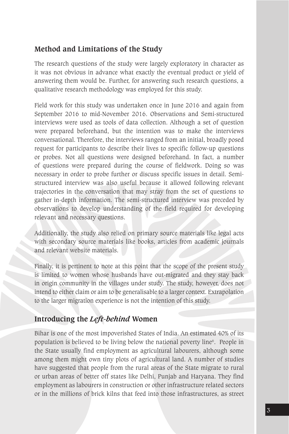#### **Method and Limitations of the Study**

The research questions of the study were largely exploratory in character as it was not obvious in advance what exactly the eventual product or yield of answering them would be. Further, for answering such research questions, a qualitative research methodology was employed for this study.

Field work for this study was undertaken once in June 2016 and again from September 2016 to mid-November 2016. Observations and Semi-structured interviews were used as tools of data collection. Although a set of question were prepared beforehand, but the intention was to make the interviews conversational. Therefore, the interviews ranged from an initial, broadly posed request for participants to describe their lives to specific follow-up questions or probes. Not all questions were designed beforehand. In fact, a number of questions were prepared during the course of fieldwork. Doing so was necessary in order to probe further or discuss specific issues in detail. Semistructured interview was also useful because it allowed following relevant trajectories in the conversation that may stray from the set of questions to gather in-depth information. The semi-structured interview was preceded by observations to develop understanding of the field required for developing relevant and necessary questions.

Additionally, the study also relied on primary source materials like legal acts with secondary source materials like books, articles from academic journals and relevant website materials.

Finally, it is pertinent to note at this point that the scope of the present study is limited to women whose husbands have out-migrated and they stay back in origin community in the villages under study. The study, however, does not intend to either claim or aim to be generalisable to a larger context. Extrapolation to the larger migration experience is not the intention of this study.

#### **Introducing the** *Left-behind* **Women**

Bihar is one of the most impoverished States of India. An estimated 40% of its population is believed to be living below the national poverty line6 . People in the State usually find employment as agricultural labourers, although some among them might own tiny plots of agricultural land. A number of studies have suggested that people from the rural areas of the State migrate to rural or urban areas of better off states like Delhi, Punjab and Haryana. They find employment as labourers in construction or other infrastructure related sectors or in the millions of brick kilns that feed into those infrastructures, as street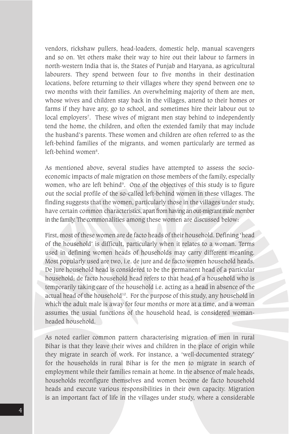vendors, rickshaw pullers, head-loaders, domestic help, manual scavengers and so on. Yet others make their way to hire out their labour to farmers in north-western India that is, the States of Punjab and Haryana, as agricultural labourers. They spend between four to five months in their destination locations, before returning to their villages where they spend between one to two months with their families. An overwhelming majority of them are men, whose wives and children stay back in the villages, attend to their homes or farms if they have any, go to school, and sometimes hire their labour out to local employers7 . These wives of migrant men stay behind to independently tend the home, the children, and often the extended family that may include the husband's parents. These women and children are often referred to as the left-behind families of the migrants, and women particularly are termed as left-behind women<sup>8</sup>.

As mentioned above, several studies have attempted to assess the socioeconomic impacts of male migration on those members of the family, especially women, who are left behind<sup>9</sup>. One of the objectives of this study is to figure out the social profile of the so-called left-behind women in these villages. The finding suggests that the women, particularly those in the villages under study, have certain common characteristics, apart from having an out-migrant male member in the family. The commonalities among these women are discussed below:

First, most of these women are de facto heads of their household. Defining 'head of the household' is difficult, particularly when it relates to a woman. Terms used in defining women heads of households may carry different meaning. Most popularly used are two, i.e. de jure and de facto women household heads. De jure household head is considered to be the permanent head of a particular household; de facto household head refers to that head of a household who is temporarily taking care of the household i.e. acting as a head in absence of the actual head of the household<sup>10</sup>. For the purpose of this study, any household in which the adult male is away for four months or more at a time, and a woman assumes the usual functions of the household head, is considered womanheaded household.

As noted earlier common pattern characterising migration of men in rural Bihar is that they leave their wives and children in the place of origin while they migrate in search of work. For instance, a 'well-documented strategy' for the households in rural Bihar is for the men to migrate in search of employment while their families remain at home. In the absence of male heads, households reconfigure themselves and women become de facto household heads and execute various responsibilities in their own capacity. Migration is an important fact of life in the villages under study, where a considerable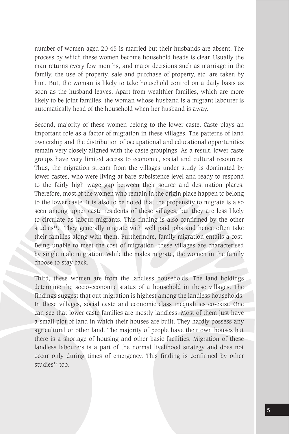number of women aged 20-45 is married but their husbands are absent. The process by which these women become household heads is clear. Usually the man returns every few months, and major decisions such as marriage in the family, the use of property, sale and purchase of property, etc. are taken by him. But, the woman is likely to take household control on a daily basis as soon as the husband leaves. Apart from wealthier families, which are more likely to be joint families, the woman whose husband is a migrant labourer is automatically head of the household when her husband is away.

Second, majority of these women belong to the lower caste. Caste plays an important role as a factor of migration in these villages. The patterns of land ownership and the distribution of occupational and educational opportunities remain very closely aligned with the caste groupings. As a result, lower caste groups have very limited access to economic, social and cultural resources. Thus, the migration stream from the villages under study is dominated by lower castes, who were living at bare subsistence level and ready to respond to the fairly high wage gap between their source and destination places. Therefore, most of the women who remain in the origin place happen to belong to the lower caste. It is also to be noted that the propensity to migrate is also seen among upper caste residents of these villages, but they are less likely to circulate as labour migrants. This finding is also confirmed by the other studies $11$ . They generally migrate with well paid jobs and hence often take their families along with them. Furthermore, family migration entails a cost. Being unable to meet the cost of migration, these villages are characterised by single male migration. While the males migrate, the women in the family choose to stay back.

Third, these women are from the landless households. The land holdings determine the socio-economic status of a household in these villages. The findings suggest that out-migration is highest among the landless households. In these villages, social caste and economic class inequalities co-exist. One can see that lower caste families are mostly landless. Most of them just have a small plot of land in which their houses are built. They hardly possess any agricultural or other land. The majority of people have their own houses but there is a shortage of housing and other basic facilities. Migration of these landless labourers is a part of the normal livelihood strategy and does not occur only during times of emergency. This finding is confirmed by other studies<sup>12</sup> too.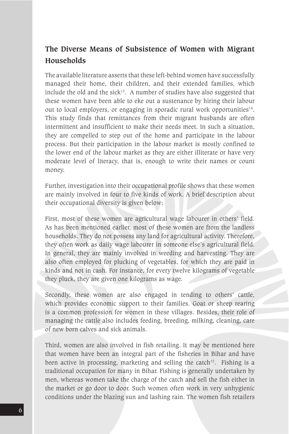### **The Diverse Means of Subsistence of Women with Migrant Households**

The available literature asserts that these left-behind women have successfully managed their home, their children, and their extended families, which include the old and the sick $13$ . A number of studies have also suggested that these women have been able to eke out a sustenance by hiring their labour out to local employers, or engaging in sporadic rural work opportunities<sup>14</sup>. This study finds that remittances from their migrant husbands are often intermittent and insufficient to make their needs meet. In such a situation, they are compelled to step out of the home and participate in the labour process. But their participation in the labour market is mostly confined to the lower end of the labour market as they are either illiterate or have very moderate level of literacy, that is, enough to write their names or count money.

Further, investigation into their occupational profile shows that these women are mainly involved in four to five kinds of work. A brief description about their occupational diversity is given below:

First, most of these women are agricultural wage labourer in others' field. As has been mentioned earlier, most of these women are from the landless households. They do not possess any land for agricultural activity. Therefore, they often work as daily wage labourer in someone else's agricultural field. In general, they are mainly involved in weeding and harvesting. They are also often employed for plucking of vegetables, for which they are paid in kinds and not in cash. For instance, for every twelve kilograms of vegetable they pluck, they are given one kilograms as wage.

Secondly, these women are also engaged in tending to others' cattle, which provides economic support to their families. Goat or sheep rearing is a common profession for women in these villages. Besides, their role of managing the cattle also includes feeding, breeding, milking, cleaning, care of new born calves and sick animals.

Third, women are also involved in fish retailing. It may be mentioned here that women have been an integral part of the fisheries in Bihar and have been active in processing, marketing and selling the catch<sup>15</sup>. Fishing is a traditional occupation for many in Bihar. Fishing is generally undertaken by men, whereas women take the charge of the catch and sell the fish either in the market or go door to door. Such women often work in very unhygienic conditions under the blazing sun and lashing rain. The women fish retailers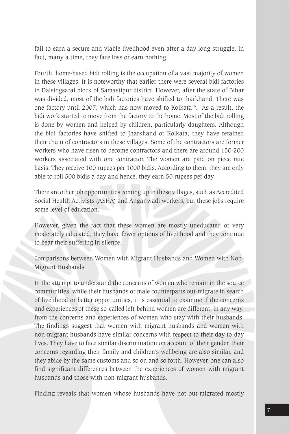fail to earn a secure and viable livelihood even after a day long struggle. In fact, many a time, they face loss or earn nothing.

Fourth, home-based bidi rolling is the occupation of a vast majority of women in these villages. It is noteworthy that earlier there were several bidi factories in Dalsingsarai block of Samastipur district. However, after the state of Bihar was divided, most of the bidi factories have shifted to Jharkhand. There was one factory until 2007, which has now moved to Kolkata16. As a result, the bidi work started to move from the factory to the home. Most of the bidi rolling is done by women and helped by children, particularly daughters. Although the bidi factories have shifted to Jharkhand or Kolkata, they have retained their chain of contractors in these villages. Some of the contractors are former workers who have risen to become contractors and there are around 150-200 workers associated with one contractor. The women are paid on piece rate basis. They receive 100 rupees per 1000 bidis. According to them, they are only able to roll 500 bidis a day and hence, they earn 50 rupees per day.

There are other job opportunities coming up in these villages, such as Accredited Social Health Activists (ASHA) and Anganwadi workers, but these jobs require some level of education.

However, given the fact that these women are mostly uneducated or very moderately educated, they have fewer options of livelihood and they continue to bear their suffering in silence.

Comparisons between Women with Migrant Husbands and Women with Non-Migrant Husbands

In the attempt to understand the concerns of women who remain in the source communities, while their husbands or male counterparts out-migrate in search of livelihood or better opportunities, it is essential to examine if the concerns and experiences of these so-called left-behind women are different, in any way, from the concerns and experiences of women who stay with their husbands. The findings suggest that women with migrant husbands and women with non-migrant husbands have similar concerns with respect to their day-to-day lives. They have to face similar discrimination on account of their gender, their concerns regarding their family and children's wellbeing are also similar, and they abide by the same customs and so on and so forth. However, one can also find significant differences between the experiences of women with migrant husbands and those with non-migrant husbands.

Finding reveals that women whose husbands have not out-migrated mostly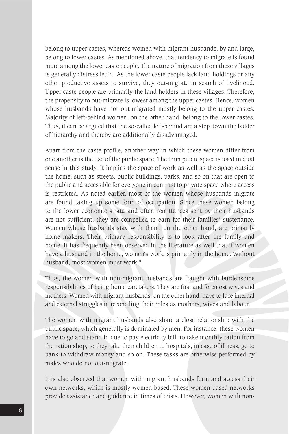belong to upper castes, whereas women with migrant husbands, by and large, belong to lower castes. As mentioned above, that tendency to migrate is found more among the lower caste people. The nature of migration from these villages is generally distress led<sup>17</sup>. As the lower caste people lack land holdings or any other productive assets to survive, they out-migrate in search of livelihood. Upper caste people are primarily the land holders in these villages. Therefore, the propensity to out-migrate is lowest among the upper castes. Hence, women whose husbands have not out-migrated mostly belong to the upper castes. Majority of left-behind women, on the other hand, belong to the lower castes. Thus, it can be argued that the so-called left-behind are a step down the ladder of hierarchy and thereby are additionally disadvantaged.

Apart from the caste profile, another way in which these women differ from one another is the use of the public space. The term public space is used in dual sense in this study. It implies the space of work as well as the space outside the home, such as streets, public buildings, parks, and so on that are open to the public and accessible for everyone in contrast to private space where access is restricted. As noted earlier, most of the women whose husbands migrate are found taking up some form of occupation. Since these women belong to the lower economic strata and often remittances sent by their husbands are not sufficient, they are compelled to earn for their families' sustenance. Women whose husbands stay with them, on the other hand, are primarily home makers. Their primary responsibility is to look after the family and home. It has frequently been observed in the literature as well that if women have a husband in the home, women's work is primarily in the home. Without husband, most women must work<sup>18</sup>.

Thus, the women with non-migrant husbands are fraught with burdensome responsibilities of being home caretakers. They are first and foremost wives and mothers. Women with migrant husbands, on the other hand, have to face internal and external struggles in reconciling their roles as mothers, wives and labour.

The women with migrant husbands also share a close relationship with the public space, which generally is dominated by men. For instance, these women have to go and stand in que to pay electricity bill, to take monthly ration from the ration shop, to they take their children to hospitals, in case of illness, go to bank to withdraw money and so on. These tasks are otherwise performed by males who do not out-migrate.

It is also observed that women with migrant husbands form and access their own networks, which is mostly women-based. These women-based networks provide assistance and guidance in times of crisis. However, women with non-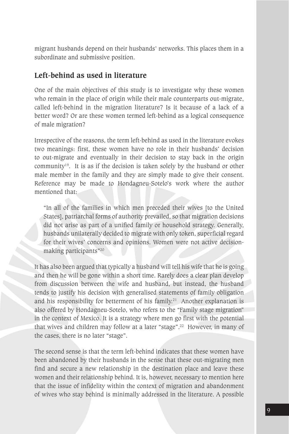migrant husbands depend on their husbands' networks. This places them in a subordinate and submissive position.

#### **Left-behind as used in literature**

One of the main objectives of this study is to investigate why these women who remain in the place of origin while their male counterparts out-migrate, called left-behind in the migration literature? Is it because of a lack of a better word? Or are these women termed left-behind as a logical consequence of male migration?

Irrespective of the reasons, the term left-behind as used in the literature evokes two meanings: first, these women have no role in their husbands' decision to out-migrate and eventually in their decision to stay back in the origin community<sup>19</sup>. It is as if the decision is taken solely by the husband or other male member in the family and they are simply made to give their consent. Reference may be made to Hondagneu-Sotelo's work where the author mentioned that:

"In all of the families in which men preceded their wives [to the United States], patriarchal forms of authority prevailed, so that migration decisions did not arise as part of a unified family or household strategy. Generally, husbands unilaterally decided to migrate with only token, superficial regard for their wives' concerns and opinions. Women were not active decisionmaking participants"20

It has also been argued that typically a husband will tell his wife that he is going and then he will be gone within a short time. Rarely does a clear plan develop from discussion between the wife and husband, but instead, the husband tends to justify his decision with generalised statements of family obligation and his responsibility for betterment of his family.<sup>21</sup> Another explanation is also offered by Hondagneu-Sotelo, who refers to the "Family stage migration" in the context of Mexico. It is a strategy where men go first with the potential that wives and children may follow at a later "stage".<sup>22</sup> However, in many of the cases, there is no later "stage".

The second sense is that the term left-behind indicates that these women have been abandoned by their husbands in the sense that these out-migrating men find and secure a new relationship in the destination place and leave these women and their relationship behind. It is, however, necessary to mention here that the issue of infidelity within the context of migration and abandonment of wives who stay behind is minimally addressed in the literature. A possible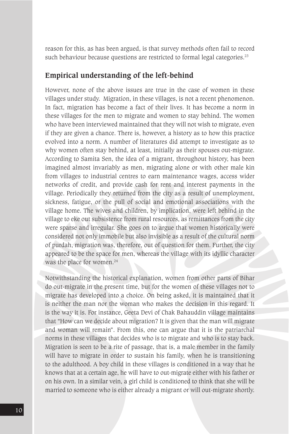reason for this, as has been argued, is that survey methods often fail to record such behaviour because questions are restricted to formal legal categories.<sup>23</sup>

#### **Empirical understanding of the left-behind**

However, none of the above issues are true in the case of women in these villages under study. Migration, in these villages, is not a recent phenomenon. In fact, migration has become a fact of their lives. It has become a norm in these villages for the men to migrate and women to stay behind. The women who have been interviewed maintained that they will not wish to migrate, even if they are given a chance. There is, however, a history as to how this practice evolved into a norm. A number of literatures did attempt to investigate as to why women often stay behind, at least, initially as their spouses out-migrate. According to Samita Sen, the idea of a migrant, throughout history, has been imagined almost invariably as men, migrating alone or with other male kin from villages to industrial centres to earn maintenance wages, access wider networks of credit, and provide cash for rent and interest payments in the village. Periodically they returned from the city as a result of unemployment, sickness, fatigue, or the pull of social and emotional associations with the village home. The wives and children, by implication, were left behind in the village to eke out subsistence from rural resources, as remittances from the city were sparse and irregular. She goes on to argue that women historically were considered not only immobile but also invisible as a result of the cultural norm of purdah, migration was, therefore, out of question for them. Further, the city appeared to be the space for men, whereas the village with its idyllic character was the place for women.<sup>24</sup>

Notwithstanding the historical explanation, women from other parts of Bihar do out-migrate in the present time, but for the women of these villages not to migrate has developed into a choice. On being asked, it is maintained that it is neither the man nor the woman who makes the decision in this regard. It is the way it is. For instance, Geeta Devi of Chak Bahauddin village maintains that "How can we decide about migration? It is given that the man will migrate and woman will remain". From this, one can argue that it is the patriarchal norms in these villages that decides who is to migrate and who is to stay back. Migration is seen to be a rite of passage, that is, a male member in the family will have to migrate in order to sustain his family, when he is transitioning to the adulthood. A boy child in these villages is conditioned in a way that he knows that at a certain age, he will have to out-migrate either with his father or on his own. In a similar vein, a girl child is conditioned to think that she will be married to someone who is either already a migrant or will out-migrate shortly.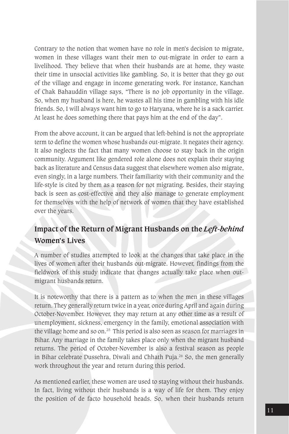Contrary to the notion that women have no role in men's decision to migrate, women in these villages want their men to out-migrate in order to earn a livelihood. They believe that when their husbands are at home, they waste their time in unsocial activities like gambling. So, it is better that they go out of the village and engage in income generating work. For instance, Kanchan of Chak Bahauddin village says, "There is no job opportunity in the village. So, when my husband is here, he wastes all his time in gambling with his idle friends. So, I will always want him to go to Haryana, where he is a sack carrier. At least he does something there that pays him at the end of the day".

From the above account, it can be argued that left-behind is not the appropriate term to define the women whose husbands out-migrate. It negates their agency. It also neglects the fact that many women choose to stay back in the origin community. Argument like gendered role alone does not explain their staying back as literature and Census data suggest that elsewhere women also migrate, even singly, in a large numbers. Their familiarity with their community and the life-style is cited by them as a reason for not migrating. Besides, their staying back is seen as cost-effective and they also manage to generate employment for themselves with the help of network of women that they have established over the years.

### **Impact of the Return of Migrant Husbands on the** *Left-behind*  **Women's Lives**

A number of studies attempted to look at the changes that take place in the lives of women after their husbands out-migrate. However, findings from the fieldwork of this study indicate that changes actually take place when outmigrant husbands return.

It is noteworthy that there is a pattern as to when the men in these villages return. They generally return twice in a year, once during April and again during October-November. However, they may return at any other time as a result of unemployment, sickness, emergency in the family, emotional association with the village home and so on.<sup>25</sup> This period is also seen as season for marriages in Bihar. Any marriage in the family takes place only when the migrant husband returns. The period of October-November is also a festival season as people in Bihar celebrate Dussehra, Diwali and Chhath Puja.<sup>26</sup> So, the men generally work throughout the year and return during this period.

As mentioned earlier, these women are used to staying without their husbands. In fact, living without their husbands is a way of life for them. They enjoy the position of de facto household heads. So, when their husbands return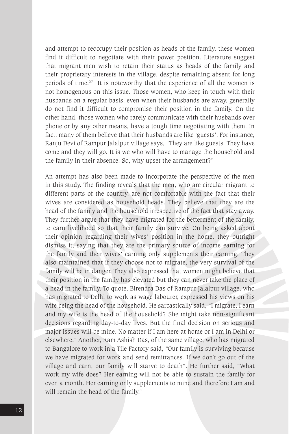and attempt to reoccupy their position as heads of the family, these women find it difficult to negotiate with their power position. Literature suggest that migrant men wish to retain their status as heads of the family and their proprietary interests in the village, despite remaining absent for long periods of time.27 It is noteworthy that the experience of all the women is not homogenous on this issue. Those women, who keep in touch with their husbands on a regular basis, even when their husbands are away, generally do not find it difficult to compromise their position in the family. On the other hand, those women who rarely communicate with their husbands over phone or by any other means, have a tough time negotiating with them. In fact, many of them believe that their husbands are like 'guests'. For instance, Ranju Devi of Rampur Jalalpur village says, "They are like guests, They have come and they will go. It is we who will have to manage the household and the family in their absence. So, why upset the arrangement?"

An attempt has also been made to incorporate the perspective of the men in this study. The finding reveals that the men, who are circular migrant to different parts of the country, are not comfortable with the fact that their wives are considered as household heads. They believe that they are the head of the family and the household irrespective of the fact that stay away. They further argue that they have migrated for the betterment of the family, to earn livelihood so that their family can survive. On being asked about their opinion regarding their wives' position in the home, they outright dismiss it, saying that they are the primary source of income earning for the family and their wives' earning only supplements their earning. They also maintained that if they choose not to migrate, the very survival of the family will be in danger. They also expressed that women might believe that their position in the family has elevated but they can never take the place of a head in the family. To quote, Birendra Das of Rampur Jalalpur village, who has migrated to Delhi to work as wage labourer, expressed his views on his wife being the head of the household. He sarcastically said, "I migrate, I earn and my wife is the head of the household? She might take non-significant decisions regarding day-to-day lives. But the final decision on serious and major issues will be mine. No matter if I am here at home or I am in Delhi or elsewhere." Another, Ram Ashish Das, of the same village, who has migrated to Bangalore to work in a Tile Factory said, "Our family is surviving because we have migrated for work and send remittances. If we don't go out of the village and earn, our family will starve to death". He further said, "What work my wife does? Her earning will not be able to sustain the family for even a month. Her earning only supplements to mine and therefore I am and will remain the head of the family."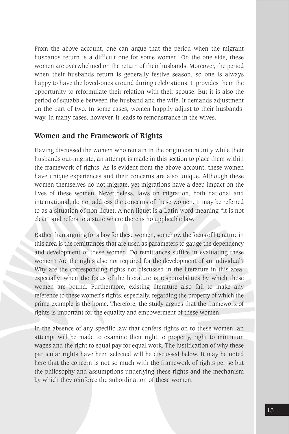From the above account, one can argue that the period when the migrant husbands return is a difficult one for some women. On the one side, these women are overwhelmed on the return of their husbands. Moreover, the period when their husbands return is generally festive season, so one is always happy to have the loved-ones around during celebrations. It provides them the opportunity to reformulate their relation with their spouse. But it is also the period of squabble between the husband and the wife. It demands adjustment on the part of two. In some cases, women happily adjust to their husbands' way. In many cases, however, it leads to remonstrance in the wives.

#### **Women and the Framework of Rights**

Having discussed the women who remain in the origin community while their husbands out-migrate, an attempt is made in this section to place them within the framework of rights. As is evident from the above account, these women have unique experiences and their concerns are also unique. Although these women themselves do not migrate, yet migrations have a deep impact on the lives of these women. Nevertheless, laws on migration, both national and international, do not address the concerns of these women. It may be referred to as a situation of non liquet. A non liquet is a Latin word meaning "it is not clear" and refers to a state where there is no applicable law.

Rather than arguing for a law for these women, somehow the focus of literature in this area is the remittances that are used as parameters to gauge the dependency and development of these women. Do remittances suffice in evaluating these women? Are the rights also not required for the development of an individual? Why are the corresponding rights not discussed in the literature in this area, especially, when the focus of the literature is responsibilities by which these women are bound. Furthermore, existing literature also fail to make any reference to these women's rights, especially, regarding the property of which the prime example is the home. Therefore, the study argues that the framework of rights is important for the equality and empowerment of these women.

In the absence of any specific law that confers rights on to these women, an attempt will be made to examine their right to property, right to minimum wages and the right to equal pay for equal work. The justification of why these particular rights have been selected will be discussed below. It may be noted here that the concern is not so much with the framework of rights per se but the philosophy and assumptions underlying these rights and the mechanism by which they reinforce the subordination of these women.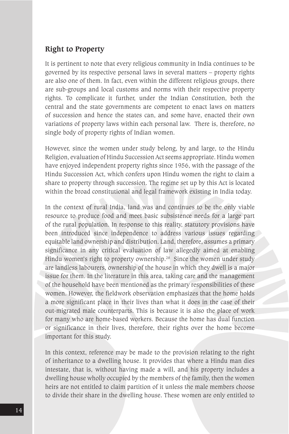#### **Right to Property**

It is pertinent to note that every religious community in India continues to be governed by its respective personal laws in several matters – property rights are also one of them. In fact, even within the different religious groups, there are sub-groups and local customs and norms with their respective property rights. To complicate it further, under the Indian Constitution, both the central and the state governments are competent to enact laws on matters of succession and hence the states can, and some have, enacted their own variations of property laws within each personal law. There is, therefore, no single body of property rights of Indian women.

However, since the women under study belong, by and large, to the Hindu Religion, evaluation of Hindu Succession Act seems appropriate. Hindu women have enjoyed independent property rights since 1956, with the passage of the Hindu Succession Act, which confers upon Hindu women the right to claim a share to property through succession. The regime set up by this Act is located within the broad constitutional and legal framework existing in India today.

In the context of rural India, land was and continues to be the only viable resource to produce food and meet basic subsistence needs for a large part of the rural population. In response to this reality, statutory provisions have been introduced since independence to address various issues regarding equitable land ownership and distribution. Land, therefore, assumes a primary significance in any critical evaluation of law allegedly aimed at enabling Hindu women's right to property ownership.<sup>28</sup> Since the women under study are landless labourers, ownership of the house in which they dwell is a major issue for them. In the literature in this area, taking care and the management of the household have been mentioned as the primary responsibilities of these women. However, the fieldwork observation emphasizes that the home holds a more significant place in their lives than what it does in the case of their out-migrated male counterparts. This is because it is also the place of work for many who are home-based workers. Because the home has dual function or significance in their lives, therefore, their rights over the home become important for this study.

In this context, reference may be made to the provision relating to the right of inheritance to a dwelling house. It provides that where a Hindu man dies intestate, that is, without having made a will, and his property includes a dwelling house wholly occupied by the members of the family, then the women heirs are not entitled to claim partition of it unless the male members choose to divide their share in the dwelling house. These women are only entitled to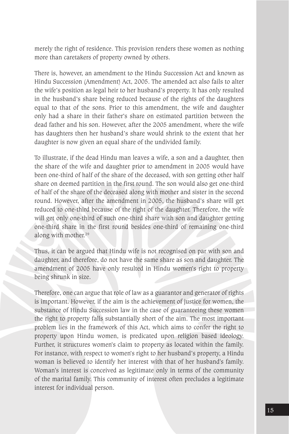merely the right of residence. This provision renders these women as nothing more than caretakers of property owned by others.

There is, however, an amendment to the Hindu Succession Act and known as Hindu Succession (Amendment) Act, 2005. The amended act also fails to alter the wife's position as legal heir to her husband's property. It has only resulted in the husband's share being reduced because of the rights of the daughters equal to that of the sons. Prior to this amendment, the wife and daughter only had a share in their father's share on estimated partition between the dead father and his son. However, after the 2005 amendment, where the wife has daughters then her husband's share would shrink to the extent that her daughter is now given an equal share of the undivided family.

To illustrate, if the dead Hindu man leaves a wife, a son and a daughter, then the share of the wife and daughter prior to amendment in 2005 would have been one-third of half of the share of the deceased, with son getting other half share on deemed partition in the first round. The son would also get one-third of half of the share of the deceased along with mother and sister in the second round. However, after the amendment in 2005, the husband's share will get reduced to one-third because of the right of the daughter. Therefore, the wife will get only one-third of such one-third share with son and daughter getting one-third share in the first round besides one-third of remaining one-third along with mother.29

Thus, it can be argued that Hindu wife is not recognised on par with son and daughter, and therefore, do not have the same share as son and daughter. The amendment of 2005 have only resulted in Hindu women's right to property being shrunk in size.

Therefore, one can argue that role of law as a guarantor and generator of rights is important. However, if the aim is the achievement of justice for women, the substance of Hindu Succession law in the case of guaranteeing these women the right to property falls substantially short of the aim. The most important problem lies in the framework of this Act, which aims to confer the right to property upon Hindu women, is predicated upon religion based ideology. Further, it structures women's claim to property as located within the family. For instance, with respect to women's right to her husband's property, a Hindu woman is believed to identify her interest with that of her husband's family. Woman's interest is conceived as legitimate only in terms of the community of the marital family. This community of interest often precludes a legitimate interest for individual person.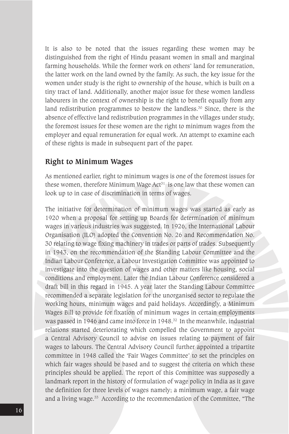It is also to be noted that the issues regarding these women may be distinguished from the right of Hindu peasant women in small and marginal farming households. While the former work on others' land for remuneration, the latter work on the land owned by the family. As such, the key issue for the women under study is the right to ownership of the house, which is built on a tiny tract of land. Additionally, another major issue for these women landless labourers in the context of ownership is the right to benefit equally from any land redistribution programmes to bestow the landless.<sup>30</sup> Since, there is the absence of effective land redistribution programmes in the villages under study, the foremost issues for these women are the right to minimum wages from the employer and equal remuneration for equal work. An attempt to examine each of these rights is made in subsequent part of the paper.

#### **Right to Minimum Wages**

As mentioned earlier, right to minimum wages is one of the foremost issues for these women, therefore Minimum Wage  $Act<sup>51</sup>$  is one law that these women can look up to in case of discrimination in terms of wages.

The initiative for determination of minimum wages was started as early as 1920 when a proposal for setting up Boards for determination of minimum wages in various industries was suggested. In 1926, the International Labour Organisation (ILO) adopted the Convention No. 26 and Recommendation No. 30 relating to wage fixing machinery in trades or parts of trades. Subsequently in 1943, on the recommendation of the Standing Labour Committee and the Indian Labour Conference, a Labour Investigation Committee was appointed to investigate into the question of wages and other matters like housing, social conditions and employment. Later the Indian Labour Conference considered a draft bill in this regard in 1945. A year later the Standing Labour Committee recommended a separate legislation for the unorganised sector to regulate the working hours, minimum wages and paid holidays. Accordingly, a Minimum Wages Bill to provide for fixation of minimum wages in certain employments was passed in 1946 and came into force in 1948.32 In the meanwhile, industrial relations started deteriorating which compelled the Government to appoint a Central Advisory Council to advise on issues relating to payment of fair wages to labours. The Central Advisory Council further appointed a tripartite committee in 1948 called the 'Fair Wages Committee' to set the principles on which fair wages should be based and to suggest the criteria on which these principles should be applied. The report of this Committee was supposedly a landmark report in the history of formulation of wage policy in India as it gave the definition for three levels of wages namely; a minimum wage, a fair wage and a living wage.<sup>33</sup> According to the recommendation of the Committee, "The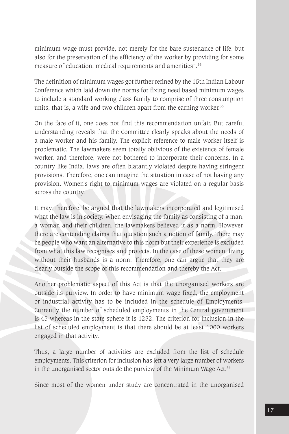minimum wage must provide, not merely for the bare sustenance of life, but also for the preservation of the efficiency of the worker by providing for some measure of education, medical requirements and amenities".34

The definition of minimum wages got further refined by the 15th Indian Labour Conference which laid down the norms for fixing need based minimum wages to include a standard working class family to comprise of three consumption units, that is, a wife and two children apart from the earning worker.<sup>35</sup>

On the face of it, one does not find this recommendation unfair. But careful understanding reveals that the Committee clearly speaks about the needs of a male worker and his family. The explicit reference to male worker itself is problematic. The lawmakers seem totally oblivious of the existence of female worker, and therefore, were not bothered to incorporate their concerns. In a country like India, laws are often blatantly violated despite having stringent provisions. Therefore, one can imagine the situation in case of not having any provision. Women's right to minimum wages are violated on a regular basis across the country.

It may, therefore, be argued that the lawmakers incorporated and legitimised what the law is in society. When envisaging the family as consisting of a man, a woman and their children, the lawmakers believed it as a norm. However, there are contending claims that question such a notion of family. There may be people who want an alternative to this norm but their experience is excluded from what this law recognises and protects. In the case of these women, living without their husbands is a norm. Therefore, one can argue that they are clearly outside the scope of this recommendation and thereby the Act.

Another problematic aspect of this Act is that the unorganised workers are outside its purview. In order to have minimum wage fixed, the employment or industrial activity has to be included in the schedule of Employments. Currently the number of scheduled employments in the Central government is 45 whereas in the state sphere it is 1232. The criterion for inclusion in the list of scheduled employment is that there should be at least 1000 workers engaged in that activity.

Thus, a large number of activities are excluded from the list of schedule employments. This criterion for inclusion has left a very large number of workers in the unorganised sector outside the purview of the Minimum Wage Act.<sup>36</sup>

Since most of the women under study are concentrated in the unorganised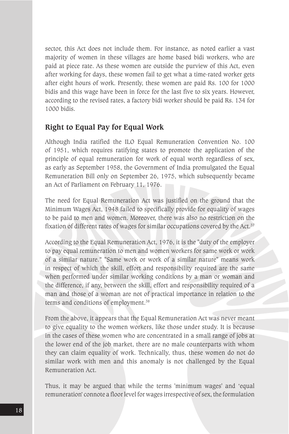sector, this Act does not include them. For instance, as noted earlier a vast majority of women in these villages are home based bidi workers, who are paid at piece rate. As these women are outside the purview of this Act, even after working for days, these women fail to get what a time-rated worker gets after eight hours of work. Presently, these women are paid Rs. 100 for 1000 bidis and this wage have been in force for the last five to six years. However, according to the revised rates, a factory bidi worker should be paid Rs. 134 for 1000 bidis.

#### **Right to Equal Pay for Equal Work**

Although India ratified the ILO Equal Remuneration Convention No. 100 of 1951, which requires ratifying states to promote the application of the principle of equal remuneration for work of equal worth regardless of sex, as early as September 1958, the Government of India promulgated the Equal Remuneration Bill only on September 26, 1975, which subsequently became an Act of Parliament on February 11, 1976.

The need for Equal Remuneration Act was justified on the ground that the Minimum Wages Act, 1948 failed to specifically provide for equality of wages to be paid to men and women. Moreover, there was also no restriction on the fixation of different rates of wages for similar occupations covered by the Act.<sup>37</sup>

According to the Equal Remuneration Act, 1976, it is the "duty of the employer to pay equal remuneration to men and women workers for same work or work of a similar nature." "Same work or work of a similar nature" means work in respect of which the skill, effort and responsibility required are the same when performed under similar working conditions by a man or woman and the difference, if any, between the skill, effort and responsibility required of a man and those of a woman are not of practical importance in relation to the terms and conditions of employment.<sup>38</sup>

From the above, it appears that the Equal Remuneration Act was never meant to give equality to the women workers, like those under study. It is because in the cases of these women who are concentrated in a small range of jobs at the lower end of the job market, there are no male counterparts with whom they can claim equality of work. Technically, thus, these women do not do similar work with men and this anomaly is not challenged by the Equal Remuneration Act.

Thus, it may be argued that while the terms 'minimum wages' and 'equal remuneration' connote a floor level for wages irrespective of sex, the formulation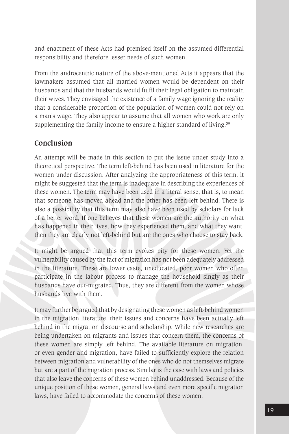and enactment of these Acts had premised itself on the assumed differential responsibility and therefore lesser needs of such women.

From the androcentric nature of the above-mentioned Acts it appears that the lawmakers assumed that all married women would be dependent on their husbands and that the husbands would fulfil their legal obligation to maintain their wives. They envisaged the existence of a family wage ignoring the reality that a considerable proportion of the population of women could not rely on a man's wage. They also appear to assume that all women who work are only supplementing the family income to ensure a higher standard of living.<sup>39</sup>

#### **Conclusion**

An attempt will be made in this section to put the issue under study into a theoretical perspective. The term left-behind has been used in literature for the women under discussion. After analyzing the appropriateness of this term, it might be suggested that the term is inadequate in describing the experiences of these women. The term may have been used in a literal sense, that is, to mean that someone has moved ahead and the other has been left behind. There is also a possibility that this term may also have been used by scholars for lack of a better word. If one believes that these women are the authority on what has happened in their lives, how they experienced them, and what they want, then they are clearly not left-behind but are the ones who choose to stay back.

It might be argued that this term evokes pity for these women. Yet the vulnerability caused by the fact of migration has not been adequately addressed in the literature. These are lower caste, uneducated, poor women who often participate in the labour process to manage the household singly as their husbands have out-migrated. Thus, they are different from the women whose husbands live with them.

It may further be argued that by designating these women as left-behind women in the migration literature, their issues and concerns have been actually left behind in the migration discourse and scholarship. While new researches are being undertaken on migrants and issues that concern them, the concerns of these women are simply left behind. The available literature on migration, or even gender and migration, have failed to sufficiently explore the relation between migration and vulnerability of the ones who do not themselves migrate but are a part of the migration process. Similar is the case with laws and policies that also leave the concerns of these women behind unaddressed. Because of the unique position of these women, general laws and even more specific migration laws, have failed to accommodate the concerns of these women.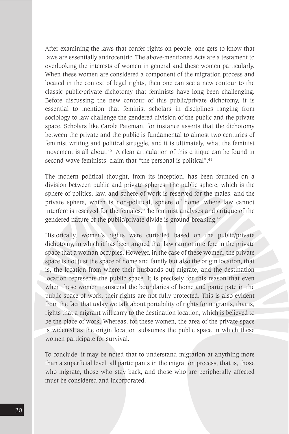After examining the laws that confer rights on people, one gets to know that laws are essentially androcentric. The above-mentioned Acts are a testament to overlooking the interests of women in general and these women particularly. When these women are considered a component of the migration process and located in the context of legal rights, then one can see a new contour to the classic public/private dichotomy that feminists have long been challenging. Before discussing the new contour of this public/private dichotomy, it is essential to mention that feminist scholars in disciplines ranging from sociology to law challenge the gendered division of the public and the private space. Scholars like Carole Pateman, for instance asserts that the dichotomy between the private and the public is fundamental to almost two centuries of feminist writing and political struggle, and it is ultimately, what the feminist movement is all about.<sup>40</sup> A clear articulation of this critique can be found in second-wave feminists' claim that "the personal is political".<sup>41</sup>

The modern political thought, from its inception, has been founded on a division between public and private spheres. The public sphere, which is the sphere of politics, law, and sphere of work is reserved for the males, and the private sphere, which is non-political, sphere of home, where law cannot interfere is reserved for the females. The feminist analyses and critique of the gendered nature of the public/private divide is ground-breaking.42

Historically, women's rights were curtailed based on the public/private dichotomy, in which it has been argued that law cannot interfere in the private space that a woman occupies. However, in the case of these women, the private space is not just the space of home and family but also the origin location, that is, the location from where their husbands out-migrate, and the destination location represents the public space. It is precisely for this reason that even when these women transcend the boundaries of home and participate in the public space of work, their rights are not fully protected. This is also evident from the fact that today we talk about portability of rights for migrants, that is, rights that a migrant will carry to the destination location, which is believed to be the place of work. Whereas, for these women, the area of the private space is widened as the origin location subsumes the public space in which these women participate for survival.

To conclude, it may be noted that to understand migration at anything more than a superficial level, all participants in the migration process, that is, those who migrate, those who stay back, and those who are peripherally affected must be considered and incorporated.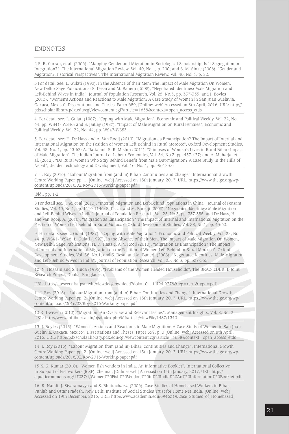#### ENDNOTES

2 S. R. Curran, et al, (2006), "Mapping Gender and Migration in Sociological Scholarship: Is It Segregation or Integration?", The International Migration Review, Vol. 40, No.1, p. 200; and S. M. Sinke (2006), "Gender and Migration: Historical Perspectives", The International Migration Review, Vol. 40, No. 1, p. 82.

3 For detail See: L. Gulati (1993), In the Absence of their Men: The Impact of Male Migration On Women, New Delhi: Sage Publications; S. Desai and M. Banerji (2008), "Negotiated Identities: Male Migration and Left-Behind Wives in India", Journal of Population Research, Vol. 25, No.3, pp. 337-355; and J. Boyles (2013), "Women's Actions and Reactions to Male Migration: A Case Study of Women in San Juan Guelavia, Oaxaca, Mexico", Dissertations and Theses, Paper 659, [Online: web] Accessed on 8th April, 2016, URL: http:// pdxscholar.library.pdx.edu/cgi/viewcontent.cgi?article=1658&context=open\_access\_etds

4 For detail see: L. Gulati (1987), "Coping with Male Migration", Economic and Political Weekly, Vol. 22, No. 44, pp. WS41- WS46; and S. Jaitley (1987), "Impact of Male Migration on Rural Females", Economic and Political Weekly, Vol. 22, No. 44, pp. WS47-WS53.

5 For detail see: H. De Hass and A. Van Rooij (2010), "Migration as Emancipation? The Impact of Internal and International Migration on the Position of Women Left Behind in Rural Morocco", Oxford Development Studies, Vol. 38, No. 1, pp. 43-62; A. Datta and S. K. Mishra (2011), "Glimpses of Women's Lives in Rural Bihar: Impact of Male Migration", The Indian Journal of Labour Economics, Vol. 54, No.3, pp. 457-477; and A. Maharja. et al, (2012), "Do Rural Women Who Stay Behind Benefit from Male Out-migration? A Case Study in the Hills of Nepal", Gender Technology and Development, Vol. 16, No. 1, pp. 95-123.6

7 I. Roy (2016), "Labour Migration from (and in) Bihar: Continuities and Change", International Growth Centre Working Paper, pp. 1, [Online: web] Accessed on 13th January, 2017, URL: https://www.theigc.org/wpcontent/uploads/2016/02/Roy-2016-Working-paper.pdf

#### Ibid., pp. 1-2

8 For detail see: J. Ye, et al (2013), "Internal Migration and Left-Behind Populations in China", Journal of Peasant Studies, Vol. 40, No.1, pp. 1119-1146; S. Desai, and M. Banerji (2008), "Negotiated Identities: Male Migration and Left-Behind Wives in India", Journal of Population Research, Vol. 25, No.3, pp. 337-355; and De Hass, H. and Van Rooij, A. (2010), "Migration as Emancipation? The Impact of Internal and International Migration on the Position of Women Left Behind in Rural Morocco", Oxford Development Studies, Vol. 38, No.1, pp. 43-62.

9 For details see: L. Gulati (1987), "Coping with Male Migration", Economic and Political Weekly, Vol. 22, No. 44, p. WS41- WS46; L. Gulati (1993), In the Absence of their Men: The Impact of Male Migration On Women, New Delhi: Sage Publications; H. D. Haas & A. V. Rooij (2010), "Migration as Emancipation? The Impact of Internal and International Migration on the Position of Women Left Behind in Rural Morocco", Oxford Development Studies, Vol. 38, No.1; and S. Desai and M. Banerji (2008), "Negotiated Identities: Male Migration and Left-Behind Wives in India", Journal of Population Research, Vol. 25, No.3, pp. 337-355.

10 N. Hossain and S. Huda (1995), "Problems of the Women Headed Households", The BRAC-ICDDR, B Joint Research Project, Dhaka, Bangladesh,

URL: http://citeseerx.ist.psu.edu/viewdoc/download?doi=10.1.1.494.9778&rep=rep1&type=pdf

11 I. Roy (2016), "Labour Migration from (and in) Bihar: Continuities and Change", International Growth Centre Working Paper, pp. 2, [Online: web] Accessed on 13th January, 2017, URL: https://www.theigc.org/wpcontent/uploads/2016/02/Roy-2016-Working-paper.pdf

12 R. Dwivedi (2012), "Migration: An Overview and Relevant Issues", Management Insights, Vol. 8, No. 2, URL: http://www.inflibnet.ac.in/ojs/index.php/MI/article/viewFile/1487/1340

13 J. Boyles (2013), "Women's Actions and Reactions to Male Migration: A Case Study of Women in San Juan Guelavia, Oaxaca, Mexico", Dissertations and Theses, Paper 659, p. 3 [Online: web] Accessed on 8th April, 2016, URL: http://pdxscholar.library.pdx.edu/cgi/viewcontent.cgi?article=1658&context=open\_access\_etds

14 I. Roy (2016), "Labour Migration from (and in) Bihar: Continuities and Change", International Growth Centre Working Paper, pp. 2, [Online: web] Accessed on 13th January, 2017, URL: https://www.theigc.org/wpcontent/uploads/2016/02/Roy-2016-Working-paper.pdf

15 K. G. Kumar (2010), "Women fish vendors in India: An Informative Booklet", International Collective in Support of Fishworkers (ICSF), Chennai, [Online: web] Accessed on 14th January, 2017, URL: http:// aquaticcommons.org/17037/1/Women%20Fish%20Vendors%20in%20India%20An%20Information%20Booklet.pdf

16 R. Nandi, J. Sivaramayya and S. Bhattacharya (2006), Case Studies of Homebased Workers in Bihar, Punjab and Uttar Pradesh, New Delhi Institute of Social Studies Trust for Home Net India, [Online: web] Accessed on 19th December, 2016, URL: http://www.academia.edu/6946319/Case\_Studies\_of\_Homebased\_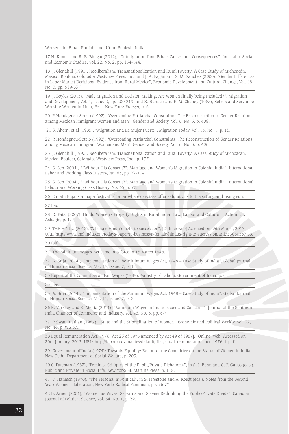Workers in Bihar Punjab and Uttar Pradesh India

17 N. Kumar and R. B. Bhagat (2012), "Outmigration from Bihar: Causes and Consequences", Journal of Social and Economic Studies, Vol. 22, No. 2, pp. 134-144.

18 J. Glendhill (1995), Neoliberalism, Transnationalization and Rural Poverty: A Case Study of Michoacán, Mexico, Boulder, Colorado: Westview Press, Inc.; and J. A. Pagán and S. M. Sanchez (2000), "Gender Differences in Labor Market Decisions: Evidence from Rural Mexico", Economic Development and Cultural Change, Vol. 48, No. 3, pp. 619-637.

19 J. Boyles (2015), "Male Migration and Decision Making: Are Women finally being Included?", Migration and Development, Vol. 4, Issue. 2, pp. 200-219; and X. Bunster and E. M. Chaney (1985), Sellers and Servants: Working Women in Lima, Peru, New York: Praeger, p. 6.

20 P. Hondagneu-Sotelo (1992), "Overcoming Patriarchal Constraints: The Reconstruction of Gender Relations among Mexican Immigrant Women and Men", Gender and Society, Vol. 6, No. 3, p. 408.

21 S. Ahern, et al (1985), "Migration and La Mujer Fuerte", Migration Today, Vol. 13, No. 1, p. 15.

22 P. Hondagneu-Sotelo (1992), "Overcoming Patriarchal Constraints: The Reconstruction of Gender Relations among Mexican Immigrant Women and Men", Gender and Society, Vol. 6, No. 3, p. 400.

23 J. Glendhill (1995), Neoliberalism, Transnationalization and Rural Poverty: A Case Study of Michoacán, Mexico, Boulder, Colorado: Westview Press, Inc., p. 137.

24 S. Sen (2004), ""Without His Consent?": Marriage and Women's Migration in Colonial India", International Labor and Working Class History, No. 65, pp. 77-104.

25 S. Sen (2004), ""Without His Consent?": Marriage and Women's Migration in Colonial India", International Labour and Working Class History, No. 65, p. 77.

26 Chhath Puja is a major festival of Bihar where devotees offer salutations to the setting and rising sun.

27 Ibid.

28 R. Patel (2007), Hindu Women's Property Rights in Rural India: Law, Labour and Culture in Action, UK; Ashagte, p. 1.

29 THE HINDU (2012), "A female Hindu's right to succession", [Online: web] Accessed on 25th March, 2017, URL: http://www.thehindu.com/todays-paper/tp-business/a-female-hindus-right-to-succession/article3080567.ece

30 Ibid.

31 The Minimum Wages Act came into force in 15 March 1948.

32 A. Srija (2014), "Implementation of the Minimum Wages Act, 1948 – Case Study of India", Global Journal of Human Social Science, Vol. 14, Issue. 7, p. 1.

33 Report of the Committee on Fair Wages (1949), Ministry of Labour, Government of India, p.7

34 Ibid.

35 A. Srija (2014), "Implementation of the Minimum Wages Act, 1948 – Case Study of India", Global Journal of Human Social Science, Vol. 14, Issue. 7, p. 2.

36 B. Varkkey and K. Mehta (2011), "Minimum Wages in India: Issues and Concerns", Journal of the Southern India Chamber of Commerce and Industry, Vol. 46, No. 6, pp. 6-7.

37 P. Swaminathan (1987), "State and the Subordination of Women", Economic and Political Weekly, Vol. 22, No. 44, p. WS 37.

38 Equal Remuneration Act, 1976 [Act 25 of 1976 amended by Act 49 of 1987], [Online: web] Accessed on 30th January, 2017, URL: http://labour.gov.in/sites/default/files/equal\_remuneration\_act\_1976\_1.pdf

39 Government of India (1974): Towards Equality: Report of the Committee on the Status of Women in India, New Delhi: Department of Social Welfare, p. 203.

40 C. Pateman (1983), "Feminist Critiques of the Public/Private Dichotomy", in S. J. Benn and G. F. Gauss (eds.), Public and Private in Social Life, New York: St. Martins Press, p. 118.

41 C. Hanisch (1970), "The Personal is Political", in S. Firestone and A. Koedt (eds.), Notes from the Second Year: Women's Liberation, New York: Radical Feminism, pp. 76-77.

42 B. Arneil (2001), "Women as Wives, Servants and Slaves: Rethinking the Public/Private Divide", Canadian Journal of Political Science, Vol. 34, No. 1, p. 29.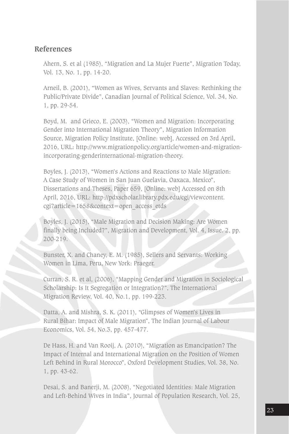#### **References**

Ahern, S. et al (1985), "Migration and La Mujer Fuerte", Migration Today, Vol. 13, No. 1, pp. 14-20.

Arneil, B. (2001), "Women as Wives, Servants and Slaves: Rethinking the Public/Private Divide", Canadian Journal of Political Science, Vol. 34, No. 1, pp. 29-54.

Boyd, M. and Grieco, E. (2003), "Women and Migration: Incorporating Gender into International Migration Theory", Migration Information Source, Migration Policy Institute, [Online: web], Accessed on 3rd April, 2016, URL: http://www.migrationpolicy.org/article/women-and-migrationincorporating-genderinternational-migration-theory.

Boyles, J. (2013), "Women's Actions and Reactions to Male Migration: A Case Study of Women in San Juan Guelavia, Oaxaca, Mexico", Dissertations and Theses, Paper 659, [Online: web] Accessed on 8th April, 2016, URL: http://pdxscholar.library.pdx.edu/cgi/viewcontent. cgi?article=1658&context=open\_access\_etds

Boyles, J. (2015), "Male Migration and Decision Making: Are Women finally being Included?", Migration and Development, Vol. 4, Issue. 2, pp. 200-219.

Bunster, X. and Chaney, E. M. (1985), Sellers and Servants: Working Women in Lima, Peru, New York: Praeger.

Curran, S. R. et al, (2006), "Mapping Gender and Migration in Sociological Scholarship: Is It Segregation or Integration?", The International Migration Review, Vol. 40, No.1, pp. 199-223.

Datta, A. and Mishra, S. K. (2011), "Glimpses of Women's Lives in Rural Bihar: Impact of Male Migration", The Indian Journal of Labour Economics, Vol. 54, No.3, pp. 457-477.

De Hass, H. and Van Rooij, A. (2010), "Migration as Emancipation? The Impact of Internal and International Migration on the Position of Women Left Behind in Rural Morocco", Oxford Development Studies, Vol. 38, No. 1, pp. 43-62.

Desai, S. and Banerji, M. (2008), "Negotiated Identities: Male Migration and Left-Behind Wives in India", Journal of Population Research, Vol. 25,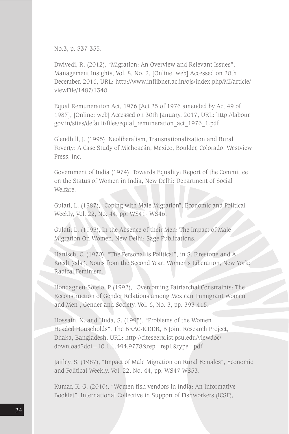No.3, p. 337-355.

Dwivedi, R. (2012), "Migration: An Overview and Relevant Issues", Management Insights, Vol. 8, No. 2, [Online: web] Accessed on 20th December, 2016, URL: http://www.inflibnet.ac.in/ojs/index.php/MI/article/ viewFile/1487/1340

Equal Remuneration Act, 1976 [Act 25 of 1976 amended by Act 49 of 1987], [Online: web] Accessed on 30th January, 2017, URL: http://labour. gov.in/sites/default/files/equal\_remuneration\_act\_1976\_1.pdf

Glendhill, J. (1995), Neoliberalism, Transnationalization and Rural Poverty: A Case Study of Michoacán, Mexico, Boulder, Colorado: Westview Press, Inc.

Government of India (1974): Towards Equality: Report of the Committee on the Status of Women in India, New Delhi: Department of Social Welfare.

Gulati, L. (1987), "Coping with Male Migration", Economic and Political Weekly, Vol. 22, No. 44, pp. WS41- WS46.

Gulati, L. (1993), In the Absence of their Men: The Impact of Male Migration On Women, New Delhi: Sage Publications.

Hanisch, C. (1970), "The Personal is Political", in S. Firestone and A. Koedt (eds.), Notes from the Second Year: Women's Liberation, New York: Radical Feminism.

Hondagneu-Sotelo, P. (1992), "Overcoming Patriarchal Constraints: The Reconstruction of Gender Relations among Mexican Immigrant Women and Men", Gender and Society, Vol. 6, No. 3, pp. 393-415.

Hossain, N. and Huda, S. (1995), "Problems of the Women Headed Households", The BRAC-ICDDR, B Joint Research Project, Dhaka, Bangladesh, URL: http://citeseerx.ist.psu.edu/viewdoc/ download?doi=10.1.1.494.9778&rep=rep1&type=pdf

Jaitley, S. (1987), "Impact of Male Migration on Rural Females", Economic and Political Weekly, Vol. 22, No. 44, pp. WS47-WS53.

Kumar, K. G. (2010), "Women fish vendors in India: An Informative Booklet", International Collective in Support of Fishworkers (ICSF),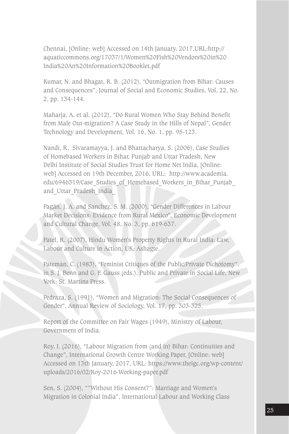Chennai, [Online: web] Accessed on 14th January, 2017,URL:http:// aquaticcommons.org/17037/1/Women%20Fish%20Vendors%20in%20 India%20An%20Information%20Booklet.pdf

Kumar, N. and Bhagat, R. B. (2012), "Outmigration from Bihar: Causes and Consequences", Journal of Social and Economic Studies, Vol. 22, No. 2, pp. 134-144.

Maharja, A. et al, (2012), "Do Rural Women Who Stay Behind Benefit from Male Out-migration? A Case Study in the Hills of Nepal", Gender Technology and Development, Vol. 16, No. 1, pp. 95-123.

Nandi, R, Sivaramayya, J. and Bhattacharya, S. (2006), Case Studies of Homebased Workers in Bihar, Punjab and Uttar Pradesh, New Delhi Institute of Social Studies Trust for Home Net India, [Online: web] Accessed on 19th December, 2016, URL: http://www.academia. edu/6946319/Case Studies of Homebased Workers in Bihar Punjab and Uttar Pradesh India

Pagán, J. A. and Sanchez, S. M. (2000), "Gender Differences in Labour Market Decisions: Evidence from Rural Mexico", Economic Development and Cultural Change, Vol. 48, No. 3, pp. 619-637.

Patel, R. (2007), Hindu Women's Property Rights in Rural India: Law, Labour and Culture in Action, UK; Ashagte.

Pateman, C. (1983), "Feminist Critiques of the Public/Private Dichotomy", in S. J. Benn and G. F. Gauss (eds.), Public and Private in Social Life, New York: St. Martins Press.

Pedraza, S. (1991), "Women and Migration: The Social Consequences of Gender", Annual Review of Sociology, Vol. 17, pp. 303-325.

Report of the Committee on Fair Wages (1949), Ministry of Labour, Government of India.

Roy, I. (2016), "Labour Migration from (and in) Bihar: Continuities and Change", International Growth Centre Working Paper, [Online: web] Accessed on 13th January, 2017, URL: https://www.theigc.org/wp-content/ uploads/2016/02/Roy-2016-Working-paper.pdf

Sen, S. (2004), ""Without His Consent?": Marriage and Women's Migration in Colonial India", International Labour and Working Class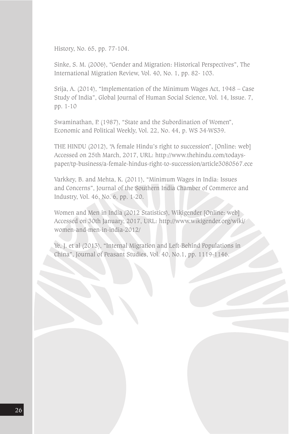History, No. 65, pp. 77-104.

Sinke, S. M. (2006), "Gender and Migration: Historical Perspectives", The International Migration Review, Vol. 40, No. 1, pp. 82- 103.

Srija, A. (2014), "Implementation of the Minimum Wages Act, 1948 – Case Study of India", Global Journal of Human Social Science, Vol. 14, Issue. 7, pp. 1-10

Swaminathan, P. (1987), "State and the Subordination of Women", Economic and Political Weekly, Vol. 22, No. 44, p. WS 34-WS39.

THE HINDU (2012), "A female Hindu's right to succession", [Online: web] Accessed on 25th March, 2017, URL: http://www.thehindu.com/todayspaper/tp-business/a-female-hindus-right-to-succession/article3080567.ece

Varkkey, B. and Mehta, K. (2011), "Minimum Wages in India: Issues and Concerns", Journal of the Southern India Chamber of Commerce and Industry, Vol. 46, No. 6, pp. 1-20.

Women and Men in India (2012 Statistics), Wikigender [Online: web] Accessed on 30th January, 2017, URL: http://www.wikigender.org/wiki/ women-and-men-in-india-2012/

Ye, J. et al (2013), "Internal Migration and Left-Behind Populations in China", Journal of Peasant Studies, Vol. 40, No.1, pp. 1119-1146.